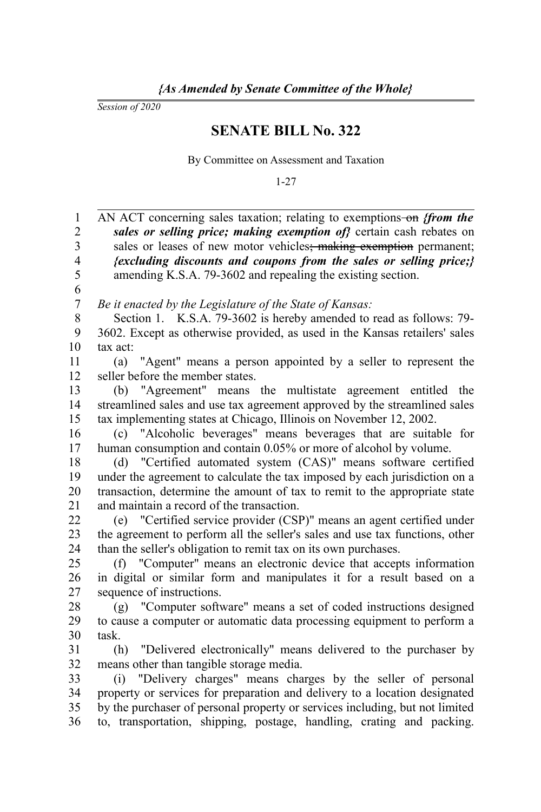*Session of 2020*

## **SENATE BILL No. 322**

By Committee on Assessment and Taxation

1-27

| $\mathbf{1}$     | AN ACT concerning sales taxation; relating to exemptions-on from the         |
|------------------|------------------------------------------------------------------------------|
| $\overline{2}$   | sales or selling price; making exemption of ecrtain cash rebates on          |
| 3                | sales or leases of new motor vehicles; making exemption permanent;           |
| $\overline{4}$   | {excluding discounts and coupons from the sales or selling price;}           |
| 5                | amending K.S.A. 79-3602 and repealing the existing section.                  |
| 6                |                                                                              |
| $\boldsymbol{7}$ | Be it enacted by the Legislature of the State of Kansas:                     |
| $\,$ 8 $\,$      | Section 1. K.S.A. 79-3602 is hereby amended to read as follows: 79-          |
| 9                | 3602. Except as otherwise provided, as used in the Kansas retailers' sales   |
| 10               | tax act:                                                                     |
| 11               | "Agent" means a person appointed by a seller to represent the<br>(a)         |
| 12               | seller before the member states.                                             |
| 13               | (b) "Agreement" means the multistate agreement entitled the                  |
| 14               | streamlined sales and use tax agreement approved by the streamlined sales    |
| 15               | tax implementing states at Chicago, Illinois on November 12, 2002.           |
| 16               | (c) "Alcoholic beverages" means beverages that are suitable for              |
| 17               | human consumption and contain 0.05% or more of alcohol by volume.            |
| 18               | (d) "Certified automated system (CAS)" means software certified              |
| 19               | under the agreement to calculate the tax imposed by each jurisdiction on a   |
| 20               | transaction, determine the amount of tax to remit to the appropriate state   |
| 21               | and maintain a record of the transaction.                                    |
| 22               | (e) "Certified service provider (CSP)" means an agent certified under        |
| 23               | the agreement to perform all the seller's sales and use tax functions, other |
| 24               | than the seller's obligation to remit tax on its own purchases.              |
| 25               | (f) "Computer" means an electronic device that accepts information           |
| 26               | in digital or similar form and manipulates it for a result based on a        |
| 27               | sequence of instructions.                                                    |
| 28               | (g) "Computer software" means a set of coded instructions designed           |
| 29               | to cause a computer or automatic data processing equipment to perform a      |
| 30               | task.                                                                        |
| 31               | "Delivered electronically" means delivered to the purchaser by<br>(h)        |
| 32               | means other than tangible storage media.                                     |
| 33               | (i) "Delivery charges" means charges by the seller of personal               |
| 34               | property or services for preparation and delivery to a location designated   |
| 35               | by the purchaser of personal property or services including, but not limited |
| 36               | to, transportation, shipping, postage, handling, crating and packing.        |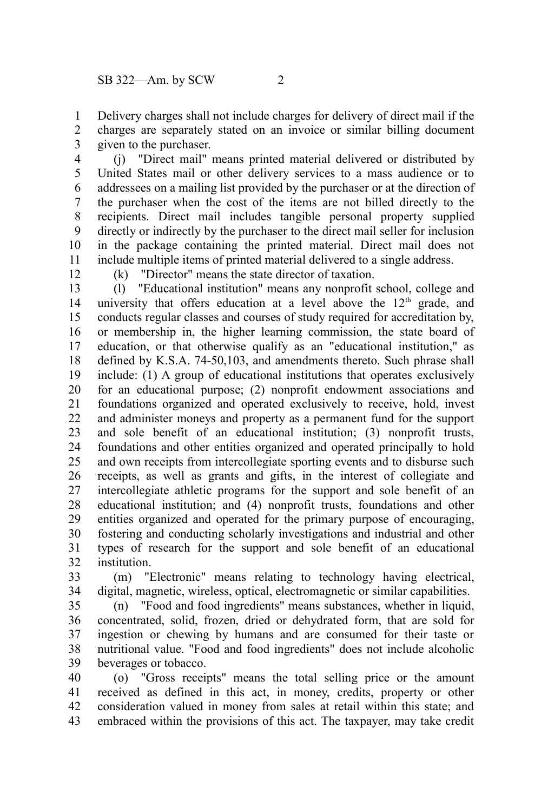Delivery charges shall not include charges for delivery of direct mail if the charges are separately stated on an invoice or similar billing document given to the purchaser. 1 2 3

(j) "Direct mail" means printed material delivered or distributed by United States mail or other delivery services to a mass audience or to addressees on a mailing list provided by the purchaser or at the direction of the purchaser when the cost of the items are not billed directly to the recipients. Direct mail includes tangible personal property supplied directly or indirectly by the purchaser to the direct mail seller for inclusion in the package containing the printed material. Direct mail does not include multiple items of printed material delivered to a single address. 4 5 6 7 8 9 10 11

12

(k) "Director" means the state director of taxation.

(l) "Educational institution" means any nonprofit school, college and university that offers education at a level above the  $12<sup>th</sup>$  grade, and conducts regular classes and courses of study required for accreditation by, or membership in, the higher learning commission, the state board of education, or that otherwise qualify as an "educational institution," as defined by K.S.A. 74-50,103, and amendments thereto. Such phrase shall include: (1) A group of educational institutions that operates exclusively for an educational purpose; (2) nonprofit endowment associations and foundations organized and operated exclusively to receive, hold, invest and administer moneys and property as a permanent fund for the support and sole benefit of an educational institution; (3) nonprofit trusts, foundations and other entities organized and operated principally to hold and own receipts from intercollegiate sporting events and to disburse such receipts, as well as grants and gifts, in the interest of collegiate and intercollegiate athletic programs for the support and sole benefit of an educational institution; and (4) nonprofit trusts, foundations and other entities organized and operated for the primary purpose of encouraging, fostering and conducting scholarly investigations and industrial and other types of research for the support and sole benefit of an educational institution. 13 14 15 16 17 18 19 20 21 22 23 24 25 26 27 28 29 30 31 32

(m) "Electronic" means relating to technology having electrical, digital, magnetic, wireless, optical, electromagnetic or similar capabilities. 33 34

(n) "Food and food ingredients" means substances, whether in liquid, concentrated, solid, frozen, dried or dehydrated form, that are sold for ingestion or chewing by humans and are consumed for their taste or nutritional value. "Food and food ingredients" does not include alcoholic beverages or tobacco. 35 36 37 38 39

(o) "Gross receipts" means the total selling price or the amount received as defined in this act, in money, credits, property or other consideration valued in money from sales at retail within this state; and embraced within the provisions of this act. The taxpayer, may take credit 40 41 42 43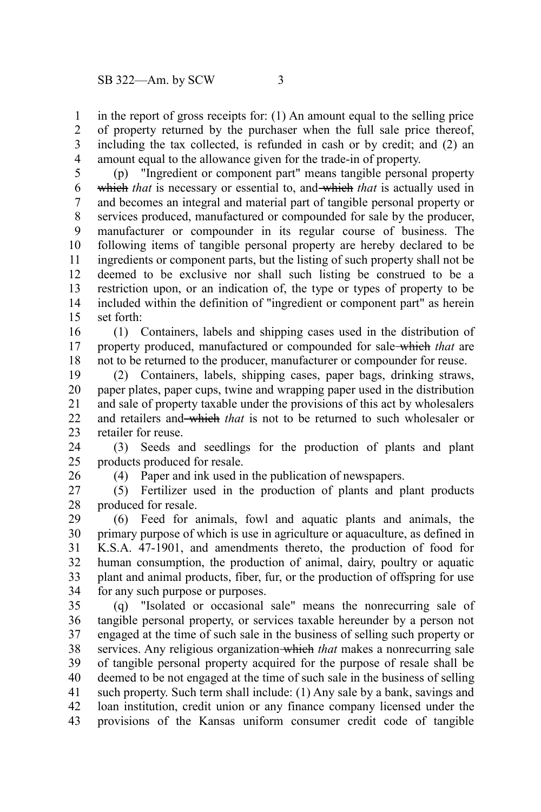in the report of gross receipts for: (1) An amount equal to the selling price of property returned by the purchaser when the full sale price thereof, including the tax collected, is refunded in cash or by credit; and (2) an amount equal to the allowance given for the trade-in of property. 1 2 3 4

(p) "Ingredient or component part" means tangible personal property which *that* is necessary or essential to, and which *that* is actually used in and becomes an integral and material part of tangible personal property or services produced, manufactured or compounded for sale by the producer, manufacturer or compounder in its regular course of business. The following items of tangible personal property are hereby declared to be ingredients or component parts, but the listing of such property shall not be deemed to be exclusive nor shall such listing be construed to be a restriction upon, or an indication of, the type or types of property to be included within the definition of "ingredient or component part" as herein set forth: 5 6 7 8 9 10 11 12 13 14 15

(1) Containers, labels and shipping cases used in the distribution of property produced, manufactured or compounded for sale which *that* are not to be returned to the producer, manufacturer or compounder for reuse. 16 17 18

(2) Containers, labels, shipping cases, paper bags, drinking straws, paper plates, paper cups, twine and wrapping paper used in the distribution and sale of property taxable under the provisions of this act by wholesalers and retailers and which *that* is not to be returned to such wholesaler or retailer for reuse. 19 20 21 22 23

(3) Seeds and seedlings for the production of plants and plant products produced for resale. 24 25

26

(4) Paper and ink used in the publication of newspapers.

(5) Fertilizer used in the production of plants and plant products produced for resale. 27 28

(6) Feed for animals, fowl and aquatic plants and animals, the primary purpose of which is use in agriculture or aquaculture, as defined in K.S.A. 47-1901, and amendments thereto, the production of food for human consumption, the production of animal, dairy, poultry or aquatic plant and animal products, fiber, fur, or the production of offspring for use for any such purpose or purposes. 29 30 31 32 33 34

(q) "Isolated or occasional sale" means the nonrecurring sale of tangible personal property, or services taxable hereunder by a person not engaged at the time of such sale in the business of selling such property or services. Any religious organization which *that* makes a nonrecurring sale of tangible personal property acquired for the purpose of resale shall be deemed to be not engaged at the time of such sale in the business of selling such property. Such term shall include: (1) Any sale by a bank, savings and loan institution, credit union or any finance company licensed under the provisions of the Kansas uniform consumer credit code of tangible 35 36 37 38 39 40 41 42 43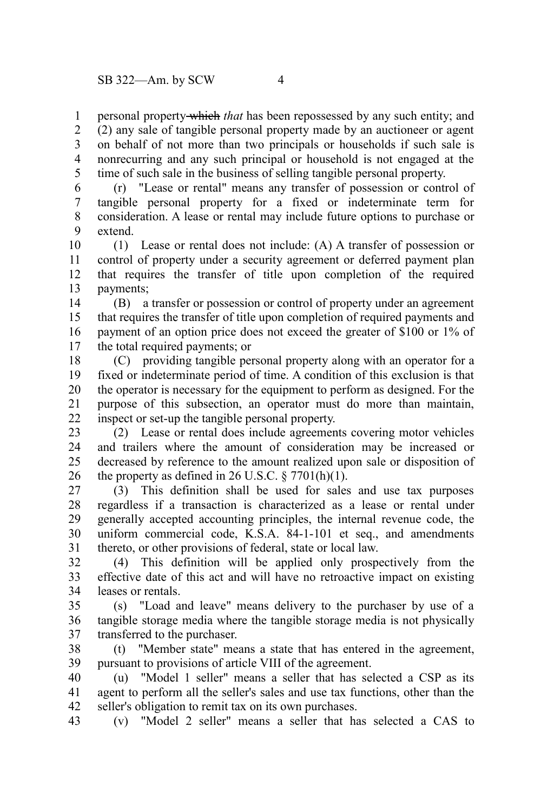personal property which *that* has been repossessed by any such entity; and 1

(2) any sale of tangible personal property made by an auctioneer or agent on behalf of not more than two principals or households if such sale is nonrecurring and any such principal or household is not engaged at the time of such sale in the business of selling tangible personal property. 2 3 4 5

(r) "Lease or rental" means any transfer of possession or control of tangible personal property for a fixed or indeterminate term for consideration. A lease or rental may include future options to purchase or extend. 6 7 8 9

(1) Lease or rental does not include: (A) A transfer of possession or control of property under a security agreement or deferred payment plan that requires the transfer of title upon completion of the required payments; 10 11 12 13

(B) a transfer or possession or control of property under an agreement that requires the transfer of title upon completion of required payments and payment of an option price does not exceed the greater of \$100 or 1% of the total required payments; or 14 15 16 17

(C) providing tangible personal property along with an operator for a fixed or indeterminate period of time. A condition of this exclusion is that the operator is necessary for the equipment to perform as designed. For the purpose of this subsection, an operator must do more than maintain, inspect or set-up the tangible personal property. 18 19 20 21 22

(2) Lease or rental does include agreements covering motor vehicles and trailers where the amount of consideration may be increased or decreased by reference to the amount realized upon sale or disposition of the property as defined in  $26$  U.S.C.  $\frac{87701(h)(1)}{h}$ . 23 24 25 26

(3) This definition shall be used for sales and use tax purposes regardless if a transaction is characterized as a lease or rental under generally accepted accounting principles, the internal revenue code, the uniform commercial code, K.S.A. 84-1-101 et seq., and amendments thereto, or other provisions of federal, state or local law. 27 28 29 30 31

(4) This definition will be applied only prospectively from the effective date of this act and will have no retroactive impact on existing leases or rentals. 32 33 34

(s) "Load and leave" means delivery to the purchaser by use of a tangible storage media where the tangible storage media is not physically transferred to the purchaser. 35 36 37

(t) "Member state" means a state that has entered in the agreement, pursuant to provisions of article VIII of the agreement. 38 39

(u) "Model 1 seller" means a seller that has selected a CSP as its agent to perform all the seller's sales and use tax functions, other than the seller's obligation to remit tax on its own purchases. 40 41 42

(v) "Model 2 seller" means a seller that has selected a CAS to 43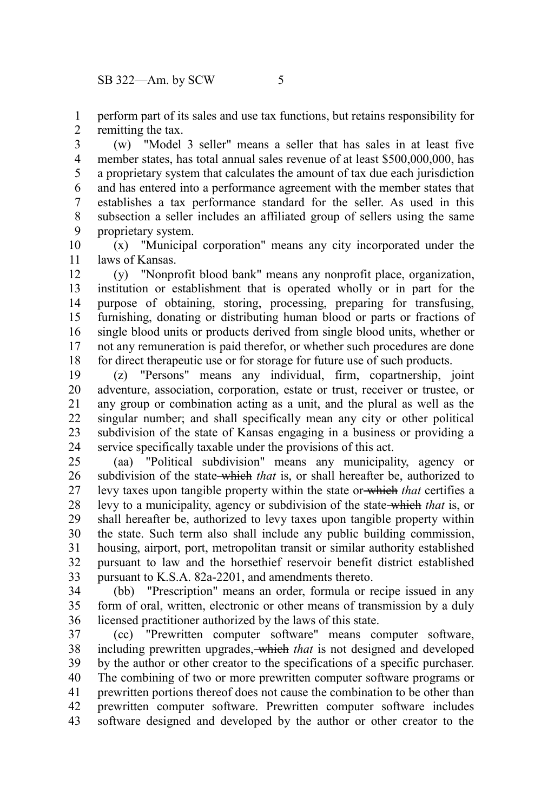perform part of its sales and use tax functions, but retains responsibility for remitting the tax. 1 2

(w) "Model 3 seller" means a seller that has sales in at least five member states, has total annual sales revenue of at least \$500,000,000, has a proprietary system that calculates the amount of tax due each jurisdiction and has entered into a performance agreement with the member states that establishes a tax performance standard for the seller. As used in this subsection a seller includes an affiliated group of sellers using the same proprietary system. 3 4 5 6 7 8 9

(x) "Municipal corporation" means any city incorporated under the laws of Kansas. 10 11

(y) "Nonprofit blood bank" means any nonprofit place, organization, institution or establishment that is operated wholly or in part for the purpose of obtaining, storing, processing, preparing for transfusing, furnishing, donating or distributing human blood or parts or fractions of single blood units or products derived from single blood units, whether or not any remuneration is paid therefor, or whether such procedures are done for direct therapeutic use or for storage for future use of such products. 12 13 14 15 16 17 18

(z) "Persons" means any individual, firm, copartnership, joint adventure, association, corporation, estate or trust, receiver or trustee, or any group or combination acting as a unit, and the plural as well as the singular number; and shall specifically mean any city or other political subdivision of the state of Kansas engaging in a business or providing a service specifically taxable under the provisions of this act. 19 20 21 22 23 24

(aa) "Political subdivision" means any municipality, agency or subdivision of the state<del>-which</del> *that* is, or shall hereafter be, authorized to levy taxes upon tangible property within the state or which *that* certifies a levy to a municipality, agency or subdivision of the state which *that* is, or shall hereafter be, authorized to levy taxes upon tangible property within the state. Such term also shall include any public building commission, housing, airport, port, metropolitan transit or similar authority established pursuant to law and the horsethief reservoir benefit district established pursuant to K.S.A. 82a-2201, and amendments thereto. 25 26 27 28 29 30 31 32 33

(bb) "Prescription" means an order, formula or recipe issued in any form of oral, written, electronic or other means of transmission by a duly licensed practitioner authorized by the laws of this state. 34 35 36

(cc) "Prewritten computer software" means computer software, including prewritten upgrades, which *that* is not designed and developed by the author or other creator to the specifications of a specific purchaser. The combining of two or more prewritten computer software programs or prewritten portions thereof does not cause the combination to be other than prewritten computer software. Prewritten computer software includes software designed and developed by the author or other creator to the 37 38 39 40 41 42 43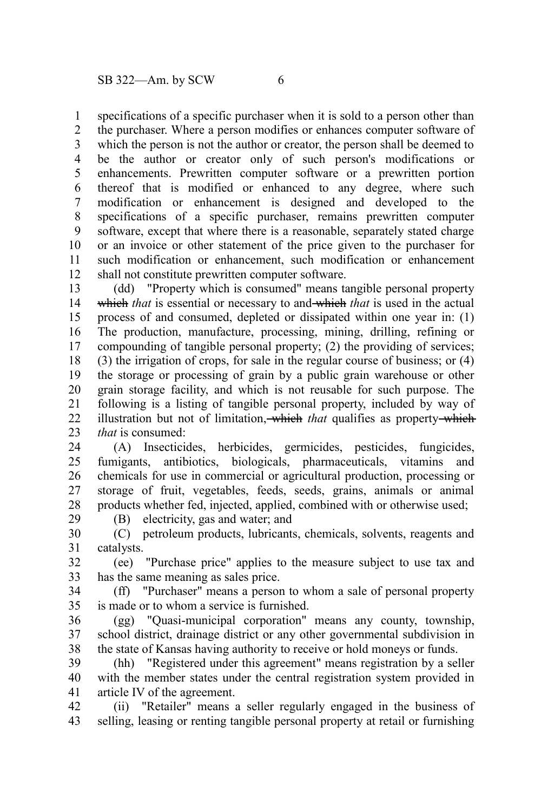specifications of a specific purchaser when it is sold to a person other than 1

the purchaser. Where a person modifies or enhances computer software of which the person is not the author or creator, the person shall be deemed to be the author or creator only of such person's modifications or enhancements. Prewritten computer software or a prewritten portion thereof that is modified or enhanced to any degree, where such modification or enhancement is designed and developed to the specifications of a specific purchaser, remains prewritten computer software, except that where there is a reasonable, separately stated charge or an invoice or other statement of the price given to the purchaser for such modification or enhancement, such modification or enhancement shall not constitute prewritten computer software. 2 3 4 5 6 7 8 9 10 11 12

(dd) "Property which is consumed" means tangible personal property which *that* is essential or necessary to and which *that* is used in the actual process of and consumed, depleted or dissipated within one year in: (1) The production, manufacture, processing, mining, drilling, refining or compounding of tangible personal property; (2) the providing of services; (3) the irrigation of crops, for sale in the regular course of business; or (4) the storage or processing of grain by a public grain warehouse or other grain storage facility, and which is not reusable for such purpose. The following is a listing of tangible personal property, included by way of illustration but not of limitation, which *that* qualifies as property-which *that* is consumed: 13 14 15 16 17 18 19 20 21 22 23

(A) Insecticides, herbicides, germicides, pesticides, fungicides, fumigants, antibiotics, biologicals, pharmaceuticals, vitamins and chemicals for use in commercial or agricultural production, processing or storage of fruit, vegetables, feeds, seeds, grains, animals or animal products whether fed, injected, applied, combined with or otherwise used; 24 25 26 27 28 29

(B) electricity, gas and water; and

(C) petroleum products, lubricants, chemicals, solvents, reagents and catalysts. 30 31

(ee) "Purchase price" applies to the measure subject to use tax and has the same meaning as sales price. 32 33

(ff) "Purchaser" means a person to whom a sale of personal property is made or to whom a service is furnished. 34 35

(gg) "Quasi-municipal corporation" means any county, township, school district, drainage district or any other governmental subdivision in the state of Kansas having authority to receive or hold moneys or funds. 36 37 38

(hh) "Registered under this agreement" means registration by a seller with the member states under the central registration system provided in article IV of the agreement. 39 40 41

(ii) "Retailer" means a seller regularly engaged in the business of selling, leasing or renting tangible personal property at retail or furnishing 42 43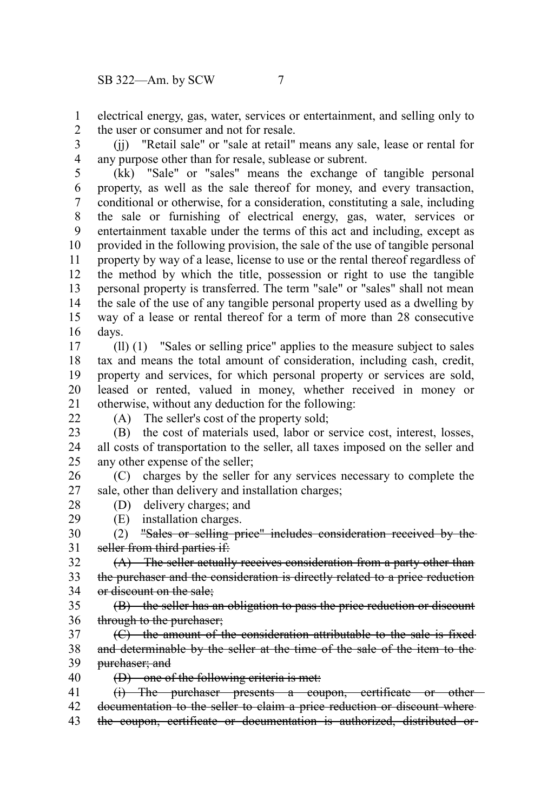electrical energy, gas, water, services or entertainment, and selling only to the user or consumer and not for resale. 1  $\mathfrak{D}$ 

(ii) "Retail sale" or "sale at retail" means any sale, lease or rental for any purpose other than for resale, sublease or subrent. 3 4

(kk) "Sale" or "sales" means the exchange of tangible personal property, as well as the sale thereof for money, and every transaction, conditional or otherwise, for a consideration, constituting a sale, including the sale or furnishing of electrical energy, gas, water, services or entertainment taxable under the terms of this act and including, except as provided in the following provision, the sale of the use of tangible personal property by way of a lease, license to use or the rental thereof regardless of the method by which the title, possession or right to use the tangible personal property is transferred. The term "sale" or "sales" shall not mean the sale of the use of any tangible personal property used as a dwelling by way of a lease or rental thereof for a term of more than 28 consecutive days. 5 6 7 8 9 10 11 12 13 14 15 16

(ll) (1) "Sales or selling price" applies to the measure subject to sales tax and means the total amount of consideration, including cash, credit, property and services, for which personal property or services are sold, leased or rented, valued in money, whether received in money or otherwise, without any deduction for the following: 17 18 19 20 21

 $22$ 

(A) The seller's cost of the property sold;

(B) the cost of materials used, labor or service cost, interest, losses, all costs of transportation to the seller, all taxes imposed on the seller and any other expense of the seller; 23 24 25

(C) charges by the seller for any services necessary to complete the sale, other than delivery and installation charges; 26 27

28 29

(E) installation charges.

(D) delivery charges; and

(2) "Sales or selling price" includes consideration received by the seller from third parties if: 30 31

(A) The seller actually receives consideration from a party other than the purchaser and the consideration is directly related to a price reduction or discount on the sale; 32 33 34

(B) the seller has an obligation to pass the price reduction or discount through to the purchaser; 35 36

(C) the amount of the consideration attributable to the sale is fixed and determinable by the seller at the time of the sale of the item to the purchaser; and 37 38 39

40

(D) one of the following criteria is met:

(i) The purchaser presents a coupon, certificate or other documentation to the seller to claim a price reduction or discount where the coupon, certificate or documentation is authorized, distributed or 41 42 43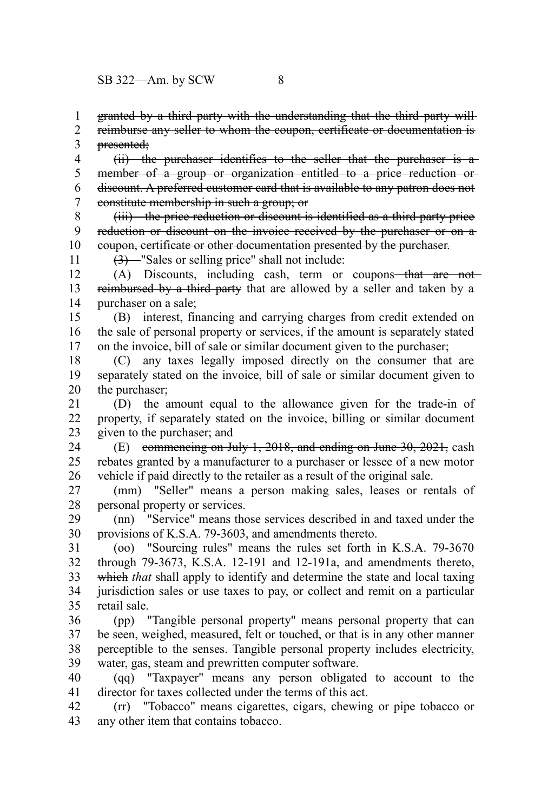granted by a third party with the understanding that the third party will 1

reimburse any seller to whom the coupon, certificate or documentation is presented; 2 3

(ii) the purchaser identifies to the seller that the purchaser is a member of a group or organization entitled to a price reduction ordiscount. A preferred customer card that is available to any patron does not constitute membership in such a group; or 4 5 6 7

(iii) the price reduction or discount is identified as a third party price reduction or discount on the invoice received by the purchaser or on a coupon, certificate or other documentation presented by the purchaser. 8 9 10

11

 $(3)$  "Sales or selling price" shall not include:

(A) Discounts, including cash, term or coupons—that are notreimbursed by a third party that are allowed by a seller and taken by a purchaser on a sale; 12 13 14

(B) interest, financing and carrying charges from credit extended on the sale of personal property or services, if the amount is separately stated on the invoice, bill of sale or similar document given to the purchaser; 15 16 17

(C) any taxes legally imposed directly on the consumer that are separately stated on the invoice, bill of sale or similar document given to the purchaser; 18 19 20

(D) the amount equal to the allowance given for the trade-in of property, if separately stated on the invoice, billing or similar document given to the purchaser; and 21 22 23

 $(E)$  commencing on July 1, 2018, and ending on June 30, 2021, cash rebates granted by a manufacturer to a purchaser or lessee of a new motor vehicle if paid directly to the retailer as a result of the original sale. 24 25 26

(mm) "Seller" means a person making sales, leases or rentals of personal property or services. 27 28

(nn) "Service" means those services described in and taxed under the provisions of K.S.A. 79-3603, and amendments thereto. 29 30

(oo) "Sourcing rules" means the rules set forth in K.S.A. 79-3670 through 79-3673, K.S.A. 12-191 and 12-191a, and amendments thereto, which *that* shall apply to identify and determine the state and local taxing jurisdiction sales or use taxes to pay, or collect and remit on a particular retail sale. 31 32 33 34 35

(pp) "Tangible personal property" means personal property that can be seen, weighed, measured, felt or touched, or that is in any other manner perceptible to the senses. Tangible personal property includes electricity, water, gas, steam and prewritten computer software. 36 37 38 39

(qq) "Taxpayer" means any person obligated to account to the director for taxes collected under the terms of this act. 40 41

(rr) "Tobacco" means cigarettes, cigars, chewing or pipe tobacco or any other item that contains tobacco. 42 43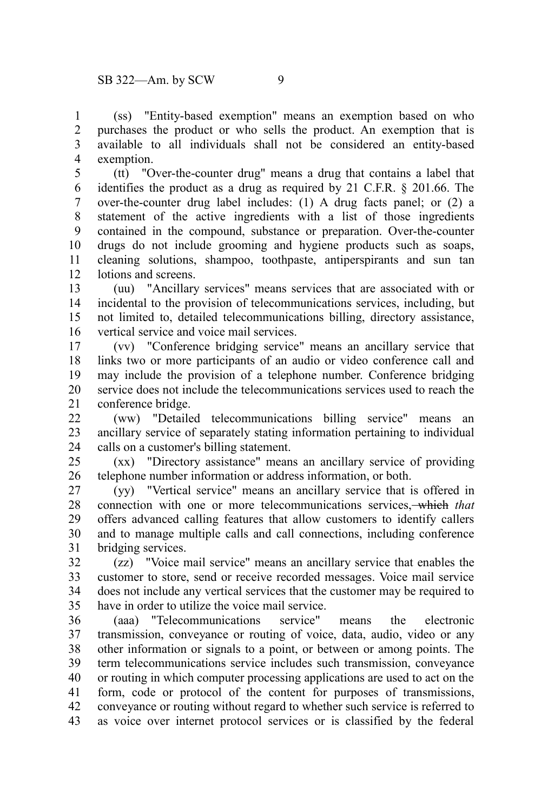(ss) "Entity-based exemption" means an exemption based on who purchases the product or who sells the product. An exemption that is available to all individuals shall not be considered an entity-based exemption. 1 2 3 4

(tt) "Over-the-counter drug" means a drug that contains a label that identifies the product as a drug as required by 21 C.F.R. § 201.66. The over-the-counter drug label includes: (1) A drug facts panel; or (2) a statement of the active ingredients with a list of those ingredients contained in the compound, substance or preparation. Over-the-counter drugs do not include grooming and hygiene products such as soaps, cleaning solutions, shampoo, toothpaste, antiperspirants and sun tan lotions and screens. 5 6 7 8 9 10 11 12

(uu) "Ancillary services" means services that are associated with or incidental to the provision of telecommunications services, including, but not limited to, detailed telecommunications billing, directory assistance, vertical service and voice mail services. 13 14 15 16

(vv) "Conference bridging service" means an ancillary service that links two or more participants of an audio or video conference call and may include the provision of a telephone number. Conference bridging service does not include the telecommunications services used to reach the conference bridge. 17 18 19 20 21

(ww) "Detailed telecommunications billing service" means an ancillary service of separately stating information pertaining to individual calls on a customer's billing statement.  $22$ 23 24

(xx) "Directory assistance" means an ancillary service of providing telephone number information or address information, or both.  $25$ 26

(yy) "Vertical service" means an ancillary service that is offered in connection with one or more telecommunications services, which *that* offers advanced calling features that allow customers to identify callers and to manage multiple calls and call connections, including conference bridging services. 27 28 29 30 31

(zz) "Voice mail service" means an ancillary service that enables the customer to store, send or receive recorded messages. Voice mail service does not include any vertical services that the customer may be required to have in order to utilize the voice mail service. 32 33 34 35

(aaa) "Telecommunications service" means the electronic transmission, conveyance or routing of voice, data, audio, video or any other information or signals to a point, or between or among points. The term telecommunications service includes such transmission, conveyance or routing in which computer processing applications are used to act on the form, code or protocol of the content for purposes of transmissions, conveyance or routing without regard to whether such service is referred to as voice over internet protocol services or is classified by the federal 36 37 38 39 40 41 42 43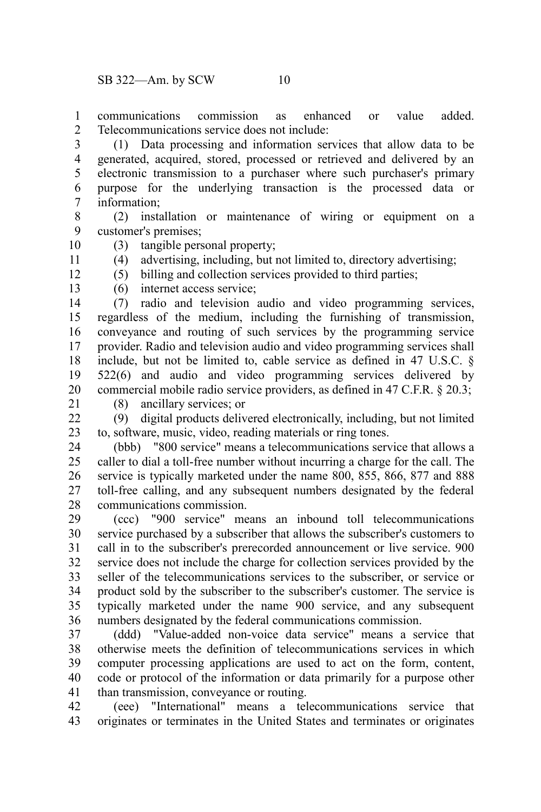communications commission as enhanced or value added. Telecommunications service does not include:

(1) Data processing and information services that allow data to be generated, acquired, stored, processed or retrieved and delivered by an electronic transmission to a purchaser where such purchaser's primary purpose for the underlying transaction is the processed data or information; 3 4 5 6 7

(2) installation or maintenance of wiring or equipment on a customer's premises; 8 9

(3) tangible personal property; 10

(4) advertising, including, but not limited to, directory advertising; 11

(5) billing and collection services provided to third parties;

12 13

1  $\mathcal{L}$ 

(6) internet access service;

(7) radio and television audio and video programming services, regardless of the medium, including the furnishing of transmission, conveyance and routing of such services by the programming service provider. Radio and television audio and video programming services shall include, but not be limited to, cable service as defined in 47 U.S.C. § 522(6) and audio and video programming services delivered by commercial mobile radio service providers, as defined in 47 C.F.R. § 20.3; (8) ancillary services; or 14 15 16 17 18 19 20

21

(9) digital products delivered electronically, including, but not limited to, software, music, video, reading materials or ring tones.  $22$ 23

(bbb) "800 service" means a telecommunications service that allows a caller to dial a toll-free number without incurring a charge for the call. The service is typically marketed under the name 800, 855, 866, 877 and 888 toll-free calling, and any subsequent numbers designated by the federal communications commission. 24 25 26 27 28

(ccc) "900 service" means an inbound toll telecommunications service purchased by a subscriber that allows the subscriber's customers to call in to the subscriber's prerecorded announcement or live service. 900 service does not include the charge for collection services provided by the seller of the telecommunications services to the subscriber, or service or product sold by the subscriber to the subscriber's customer. The service is typically marketed under the name 900 service, and any subsequent numbers designated by the federal communications commission. 29 30 31 32 33 34 35 36

(ddd) "Value-added non-voice data service" means a service that otherwise meets the definition of telecommunications services in which computer processing applications are used to act on the form, content, code or protocol of the information or data primarily for a purpose other than transmission, conveyance or routing. 37 38 39 40 41

(eee) "International" means a telecommunications service that originates or terminates in the United States and terminates or originates 42 43